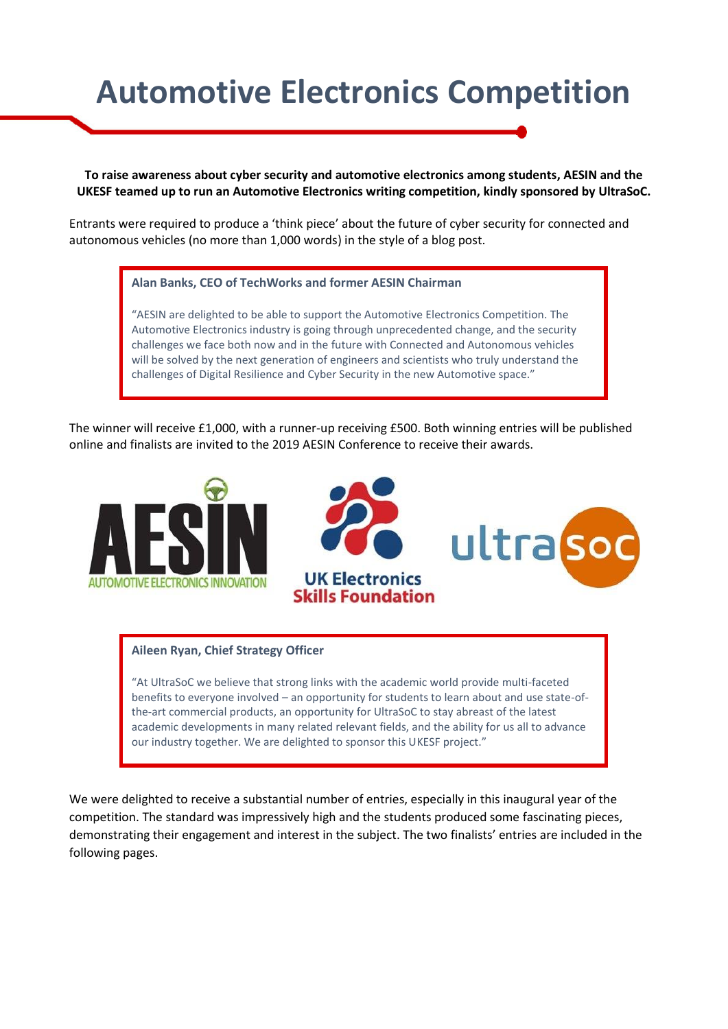# **Automotive Electronics Competition**

**To raise awareness about cyber security and automotive electronics among students, [AESIN](https://aesin.org.uk/) and the UKESF teamed up to run an Automotive Electronics writing competition, kindly sponsored b[y UltraSoC.](https://www.ultrasoc.com/)**

Entrants were required to produce a 'think piece' about the future of cyber security for connected and autonomous vehicles (no more than 1,000 words) in the style of a blog post.

**Alan Banks, CEO of TechWorks and former AESIN Chairman**

"AESIN are delighted to be able to support the Automotive Electronics Competition. The Automotive Electronics industry is going through unprecedented change, and the security challenges we face both now and in the future with Connected and Autonomous vehicles will be solved by the next generation of engineers and scientists who truly understand the challenges of Digital Resilience and Cyber Security in the new Automotive space."

The winner will receive £1,000, with a runner-up receiving £500. Both winning entries will be published online and finalists are invited to the 2019 AESIN Conference to receive their awards.



#### **Aileen Ryan, Chief Strategy Officer**

"At UltraSoC we believe that strong links with the academic world provide multi-faceted benefits to everyone involved – an opportunity for students to learn about and use state-ofthe-art commercial products, an opportunity for UltraSoC to stay abreast of the latest academic developments in many related relevant fields, and the ability for us all to advance our industry together. We are delighted to sponsor this UKESF project."

We were delighted to receive a substantial number of entries, especially in this inaugural year of the competition. The standard was impressively high and the students produced some fascinating pieces, demonstrating their engagement and interest in the subject. The two finalists' entries are included in the following pages.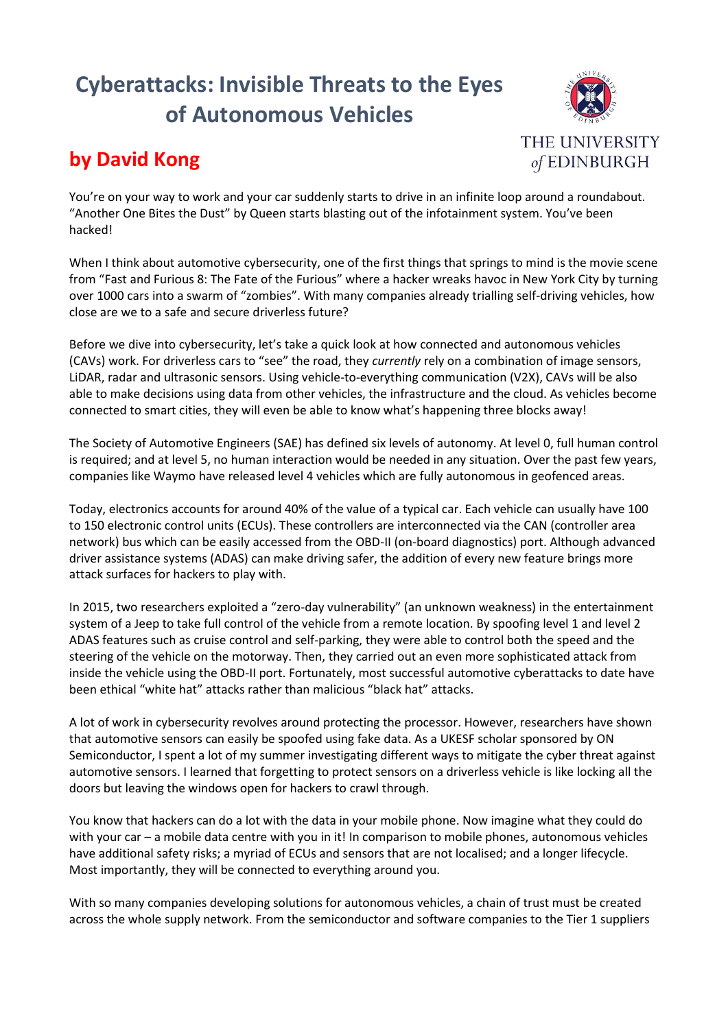# **Cyberattacks: Invisible Threats to the Eyes of Autonomous Vehicles**





You're on your way to work and your car suddenly starts to drive in an infinite loop around a roundabout. "Another One Bites the Dust" by Queen starts blasting out of the infotainment system. You've been hacked!

When I think about automotive cybersecurity, one of the first things that springs to mind is the movie scene from "Fast and Furious 8: The Fate of the Furious" where a hacker wreaks havoc in New York City by turning over 1000 cars into a swarm of "zombies". With many companies already trialling self-driving vehicles, how close are we to a safe and secure driverless future?

Before we dive into cybersecurity, let's take a quick look at how connected and autonomous vehicles (CAVs) work. For driverless cars to "see" the road, they *currently* rely on a combination of image sensors, LiDAR, radar and ultrasonic sensors. Using vehicle-to-everything communication (V2X), CAVs will be also able to make decisions using data from other vehicles, the infrastructure and the cloud. As vehicles become connected to smart cities, they will even be able to know what's happening three blocks away!

The Society of Automotive Engineers (SAE) has defined six levels of autonomy. At level 0, full human control is required; and at level 5, no human interaction would be needed in any situation. Over the past few years, companies like Waymo have released level 4 vehicles which are fully autonomous in geofenced areas.

Today, electronics accounts for around 40% of the value of a typical car. Each vehicle can usually have 100 to 150 electronic control units (ECUs). These controllers are interconnected via the CAN (controller area network) bus which can be easily accessed from the OBD-II (on-board diagnostics) port. Although advanced driver assistance systems (ADAS) can make driving safer, the addition of every new feature brings more attack surfaces for hackers to play with.

In 2015, two researchers exploited a "zero-day vulnerability" (an unknown weakness) in the entertainment system of a Jeep to take full control of the vehicle from a remote location. By spoofing level 1 and level 2 ADAS features such as cruise control and self-parking, they were able to control both the speed and the steering of the vehicle on the motorway. Then, they carried out an even more sophisticated attack from inside the vehicle using the OBD-II port. Fortunately, most successful automotive cyberattacks to date have been ethical "white hat" attacks rather than malicious "black hat" attacks.

A lot of work in cybersecurity revolves around protecting the processor. However, researchers have shown that automotive sensors can easily be spoofed using fake data. As a UKESF scholar sponsored by ON Semiconductor, I spent a lot of my summer investigating different ways to mitigate the cyber threat against automotive sensors. I learned that forgetting to protect sensors on a driverless vehicle is like locking all the doors but leaving the windows open for hackers to crawl through.

You know that hackers can do a lot with the data in your mobile phone. Now imagine what they could do with your car – a mobile data centre with you in it! In comparison to mobile phones, autonomous vehicles have additional safety risks; a myriad of ECUs and sensors that are not localised; and a longer lifecycle. Most importantly, they will be connected to everything around you.

With so many companies developing solutions for autonomous vehicles, a chain of trust must be created across the whole supply network. From the semiconductor and software companies to the Tier 1 suppliers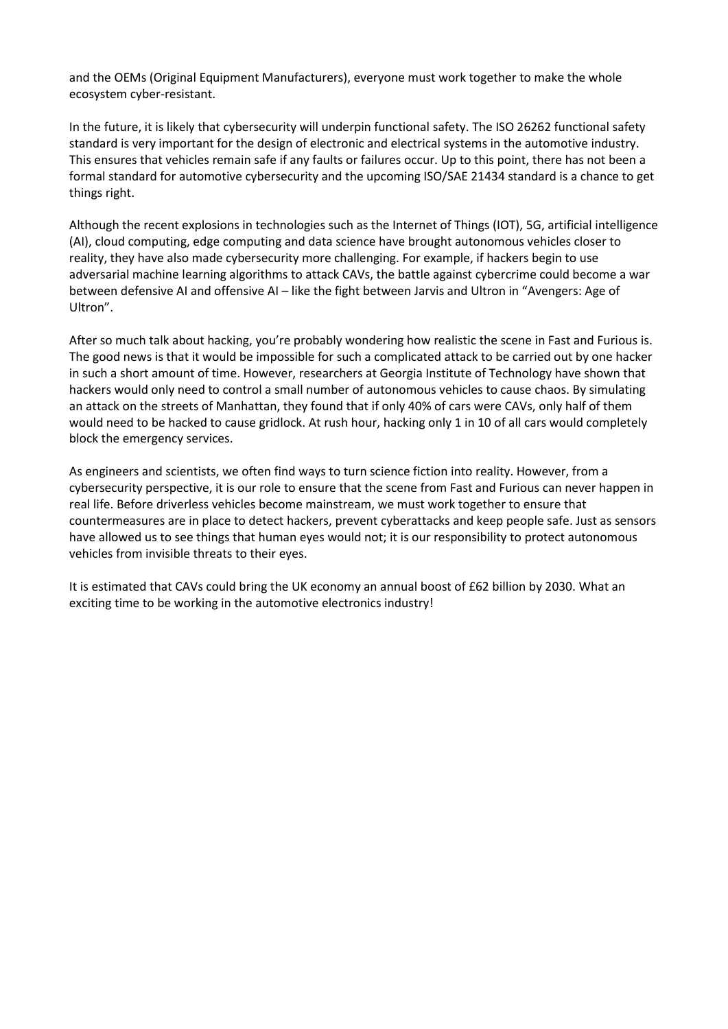and the OEMs (Original Equipment Manufacturers), everyone must work together to make the whole ecosystem cyber-resistant.

In the future, it is likely that cybersecurity will underpin functional safety. The ISO 26262 functional safety standard is very important for the design of electronic and electrical systems in the automotive industry. This ensures that vehicles remain safe if any faults or failures occur. Up to this point, there has not been a formal standard for automotive cybersecurity and the upcoming ISO/SAE 21434 standard is a chance to get things right.

Although the recent explosions in technologies such as the Internet of Things (IOT), 5G, artificial intelligence (AI), cloud computing, edge computing and data science have brought autonomous vehicles closer to reality, they have also made cybersecurity more challenging. For example, if hackers begin to use adversarial machine learning algorithms to attack CAVs, the battle against cybercrime could become a war between defensive AI and offensive AI – like the fight between Jarvis and Ultron in "Avengers: Age of Ultron".

After so much talk about hacking, you're probably wondering how realistic the scene in Fast and Furious is. The good news is that it would be impossible for such a complicated attack to be carried out by one hacker in such a short amount of time. However, researchers at Georgia Institute of Technology have shown that hackers would only need to control a small number of autonomous vehicles to cause chaos. By simulating an attack on the streets of Manhattan, they found that if only 40% of cars were CAVs, only half of them would need to be hacked to cause gridlock. At rush hour, hacking only 1 in 10 of all cars would completely block the emergency services.

As engineers and scientists, we often find ways to turn science fiction into reality. However, from a cybersecurity perspective, it is our role to ensure that the scene from Fast and Furious can never happen in real life. Before driverless vehicles become mainstream, we must work together to ensure that countermeasures are in place to detect hackers, prevent cyberattacks and keep people safe. Just as sensors have allowed us to see things that human eyes would not; it is our responsibility to protect autonomous vehicles from invisible threats to their eyes.

It is estimated that CAVs could bring the UK economy an annual boost of £62 billion by 2030. What an exciting time to be working in the automotive electronics industry!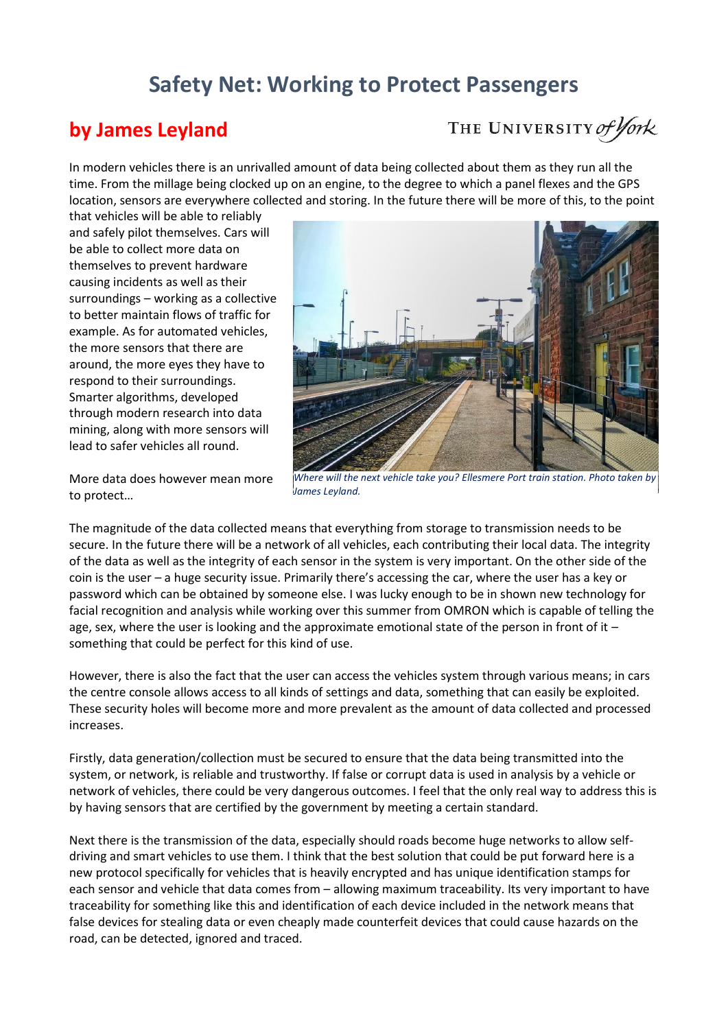### **Safety Net: Working to Protect Passengers**

### **by James Leyland**

# THE UNIVERSITY of York

In modern vehicles there is an unrivalled amount of data being collected about them as they run all the time. From the millage being clocked up on an engine, to the degree to which a panel flexes and the GPS location, sensors are everywhere collected and storing. In the future there will be more of this, to the point

that vehicles will be able to reliably and safely pilot themselves. Cars will be able to collect more data on themselves to prevent hardware causing incidents as well as their surroundings – working as a collective to better maintain flows of traffic for example. As for automated vehicles, the more sensors that there are around, the more eyes they have to respond to their surroundings. Smarter algorithms, developed through modern research into data mining, along with more sensors will lead to safer vehicles all round.

More data does however mean more to protect…



*Where will the next vehicle take you? Ellesmere Port train station. Photo taken by James Leyland.*

The magnitude of the data collected means that everything from storage to transmission needs to be secure. In the future there will be a network of all vehicles, each contributing their local data. The integrity of the data as well as the integrity of each sensor in the system is very important. On the other side of the coin is the user – a huge security issue. Primarily there's accessing the car, where the user has a key or password which can be obtained by someone else. I was lucky enough to be in shown new technology for facial recognition and analysis while working over this summer from OMRON which is capable of telling the age, sex, where the user is looking and the approximate emotional state of the person in front of it – something that could be perfect for this kind of use.

However, there is also the fact that the user can access the vehicles system through various means; in cars the centre console allows access to all kinds of settings and data, something that can easily be exploited. These security holes will become more and more prevalent as the amount of data collected and processed increases.

Firstly, data generation/collection must be secured to ensure that the data being transmitted into the system, or network, is reliable and trustworthy. If false or corrupt data is used in analysis by a vehicle or network of vehicles, there could be very dangerous outcomes. I feel that the only real way to address this is by having sensors that are certified by the government by meeting a certain standard.

Next there is the transmission of the data, especially should roads become huge networks to allow selfdriving and smart vehicles to use them. I think that the best solution that could be put forward here is a new protocol specifically for vehicles that is heavily encrypted and has unique identification stamps for each sensor and vehicle that data comes from – allowing maximum traceability. Its very important to have traceability for something like this and identification of each device included in the network means that false devices for stealing data or even cheaply made counterfeit devices that could cause hazards on the road, can be detected, ignored and traced.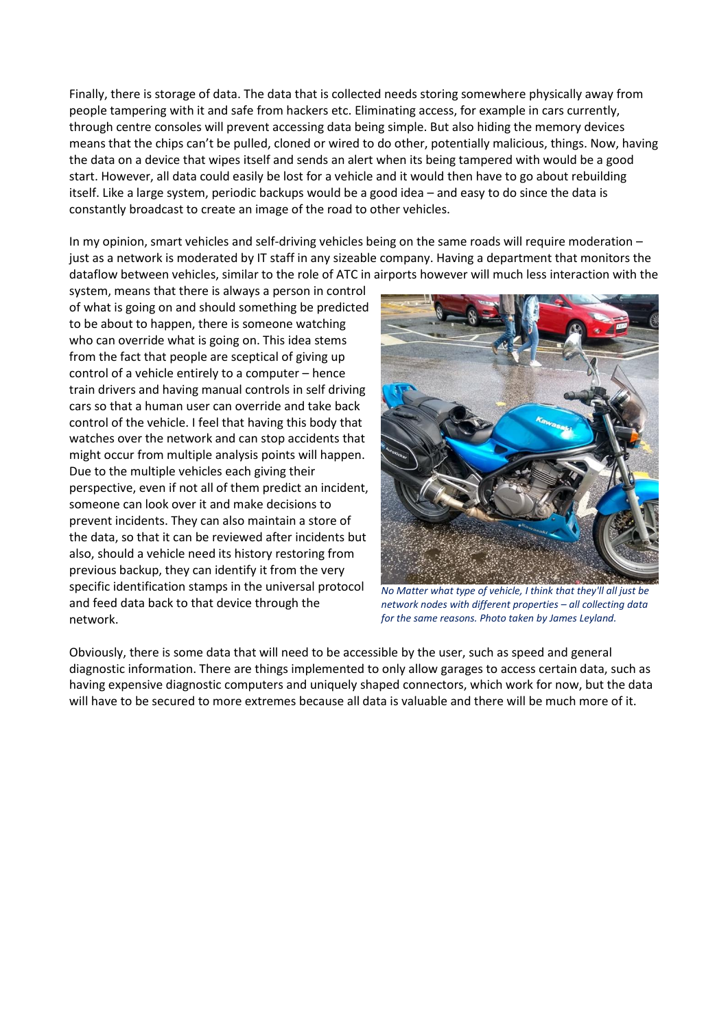Finally, there is storage of data. The data that is collected needs storing somewhere physically away from people tampering with it and safe from hackers etc. Eliminating access, for example in cars currently, through centre consoles will prevent accessing data being simple. But also hiding the memory devices means that the chips can't be pulled, cloned or wired to do other, potentially malicious, things. Now, having the data on a device that wipes itself and sends an alert when its being tampered with would be a good start. However, all data could easily be lost for a vehicle and it would then have to go about rebuilding itself. Like a large system, periodic backups would be a good idea – and easy to do since the data is constantly broadcast to create an image of the road to other vehicles.

In my opinion, smart vehicles and self-driving vehicles being on the same roads will require moderation – just as a network is moderated by IT staff in any sizeable company. Having a department that monitors the dataflow between vehicles, similar to the role of ATC in airports however will much less interaction with the

system, means that there is always a person in control of what is going on and should something be predicted to be about to happen, there is someone watching who can override what is going on. This idea stems from the fact that people are sceptical of giving up control of a vehicle entirely to a computer – hence train drivers and having manual controls in self driving cars so that a human user can override and take back control of the vehicle. I feel that having this body that watches over the network and can stop accidents that might occur from multiple analysis points will happen. Due to the multiple vehicles each giving their perspective, even if not all of them predict an incident, someone can look over it and make decisions to prevent incidents. They can also maintain a store of the data, so that it can be reviewed after incidents but also, should a vehicle need its history restoring from previous backup, they can identify it from the very specific identification stamps in the universal protocol and feed data back to that device through the network.



*No Matter what type of vehicle, I think that they'll all just be network nodes with different properties – all collecting data for the same reasons. Photo taken by James Leyland.*

Obviously, there is some data that will need to be accessible by the user, such as speed and general diagnostic information. There are things implemented to only allow garages to access certain data, such as having expensive diagnostic computers and uniquely shaped connectors, which work for now, but the data will have to be secured to more extremes because all data is valuable and there will be much more of it.